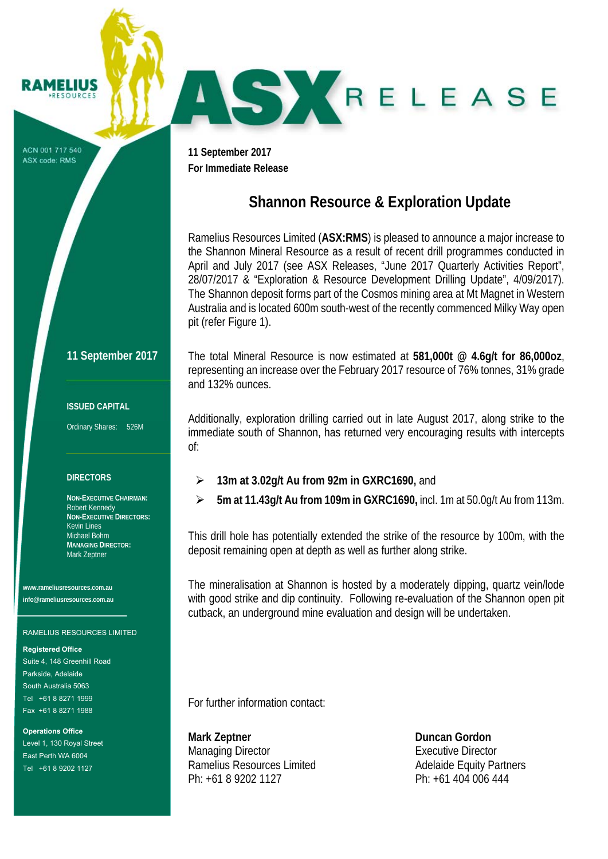ACN 001 717 540 ASX code: RMS

**RAMELIUS RESOURCES** 

> **11 September 2017 For Immediate Release**

# **Shannon Resource & Exploration Update**

AS KRELEASE

Ramelius Resources Limited (**ASX:RMS**) is pleased to announce a major increase to the Shannon Mineral Resource as a result of recent drill programmes conducted in April and July 2017 (see ASX Releases, "June 2017 Quarterly Activities Report", 28/07/2017 & "Exploration & Resource Development Drilling Update", 4/09/2017). The Shannon deposit forms part of the Cosmos mining area at Mt Magnet in Western Australia and is located 600m south-west of the recently commenced Milky Way open pit (refer Figure 1).

### **11 September 2017**

#### **ISSUED CAPITAL**

Ordinary Shares: 526M

#### **DIRECTORS**

**NON-EXECUTIVE CHAIRMAN:**  Robert Kennedy **NON-EXECUTIVE DIRECTORS:**  Kevin Lines Michael Bohm **MANAGING DIRECTOR:**  Mark Zeptner

**www.rameliusresources.com.au info@rameliusresources.com.au** 

#### RAMELIUS RESOURCES LIMITED

#### **Registered Office**

Suite 4, 148 Greenhill Road Parkside, Adelaide South Australia 5063 Tel +61 8 8271 1999 Fax +61 8 8271 1988

**Operations Office**  Level 1, 130 Royal Street East Perth WA 6004 Tel +61 8 9202 1127

The total Mineral Resource is now estimated at **581,000t @ 4.6g/t for 86,000oz**, representing an increase over the February 2017 resource of 76% tonnes, 31% grade and 132% ounces.

Additionally, exploration drilling carried out in late August 2017, along strike to the immediate south of Shannon, has returned very encouraging results with intercepts of:

- **13m at 3.02g/t Au from 92m in GXRC1690,** and
- **5m at 11.43g/t Au from 109m in GXRC1690,** incl. 1m at 50.0g/t Au from 113m.

This drill hole has potentially extended the strike of the resource by 100m, with the deposit remaining open at depth as well as further along strike.

The mineralisation at Shannon is hosted by a moderately dipping, quartz vein/lode with good strike and dip continuity. Following re-evaluation of the Shannon open pit cutback, an underground mine evaluation and design will be undertaken.

For further information contact:

**Mark Zeptner Community Community Community Community Community Community Community Community Community Community Community Community Community Community Community Community Community Community Community Community Communit** Managing Director **Executive Director** Ramelius Resources Limited Adelaide Equity Partners Ph: +61 8 9202 1127 Ph: +61 404 006 444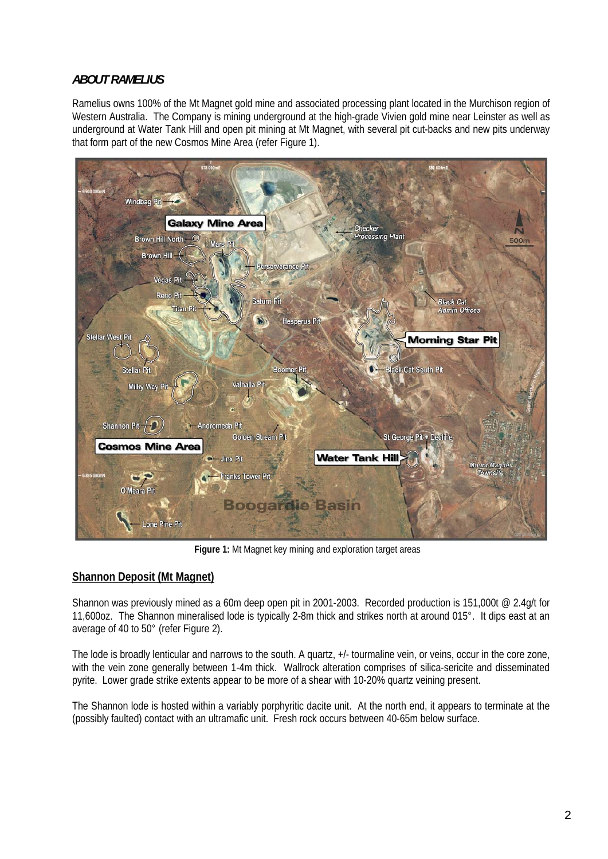## *ABOUT RAMELIUS*

Ramelius owns 100% of the Mt Magnet gold mine and associated processing plant located in the Murchison region of Western Australia. The Company is mining underground at the high-grade Vivien gold mine near Leinster as well as underground at Water Tank Hill and open pit mining at Mt Magnet, with several pit cut-backs and new pits underway that form part of the new Cosmos Mine Area (refer Figure 1).



**Figure 1:** Mt Magnet key mining and exploration target areas

## **Shannon Deposit (Mt Magnet)**

Shannon was previously mined as a 60m deep open pit in 2001-2003. Recorded production is 151,000t @ 2.4g/t for 11,600oz. The Shannon mineralised lode is typically 2-8m thick and strikes north at around 015°. It dips east at an average of 40 to 50° (refer Figure 2).

The lode is broadly lenticular and narrows to the south. A quartz, +/- tourmaline vein, or veins, occur in the core zone, with the vein zone generally between 1-4m thick. Wallrock alteration comprises of silica-sericite and disseminated pyrite. Lower grade strike extents appear to be more of a shear with 10-20% quartz veining present.

The Shannon lode is hosted within a variably porphyritic dacite unit. At the north end, it appears to terminate at the (possibly faulted) contact with an ultramafic unit. Fresh rock occurs between 40-65m below surface.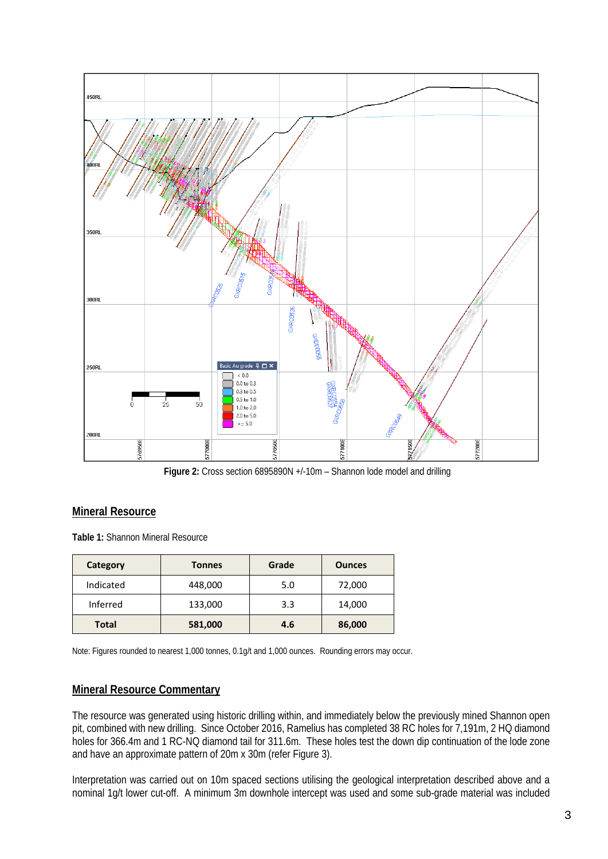

**Figure 2:** Cross section 6895890N +/-10m – Shannon lode model and drilling

### **Mineral Resource**

**Table 1:** Shannon Mineral Resource

| Category     | <b>Tonnes</b> | Grade | <b>Ounces</b> |
|--------------|---------------|-------|---------------|
| Indicated    | 448,000       | 5.0   | 72,000        |
| Inferred     | 133,000       | 3.3   | 14,000        |
| <b>Total</b> | 581,000       | 4.6   | 86,000        |

Note: Figures rounded to nearest 1,000 tonnes, 0.1g/t and 1,000 ounces. Rounding errors may occur.

### **Mineral Resource Commentary**

The resource was generated using historic drilling within, and immediately below the previously mined Shannon open pit, combined with new drilling. Since October 2016, Ramelius has completed 38 RC holes for 7,191m, 2 HQ diamond holes for 366.4m and 1 RC-NQ diamond tail for 311.6m. These holes test the down dip continuation of the lode zone and have an approximate pattern of 20m x 30m (refer Figure 3).

Interpretation was carried out on 10m spaced sections utilising the geological interpretation described above and a nominal 1g/t lower cut-off. A minimum 3m downhole intercept was used and some sub-grade material was included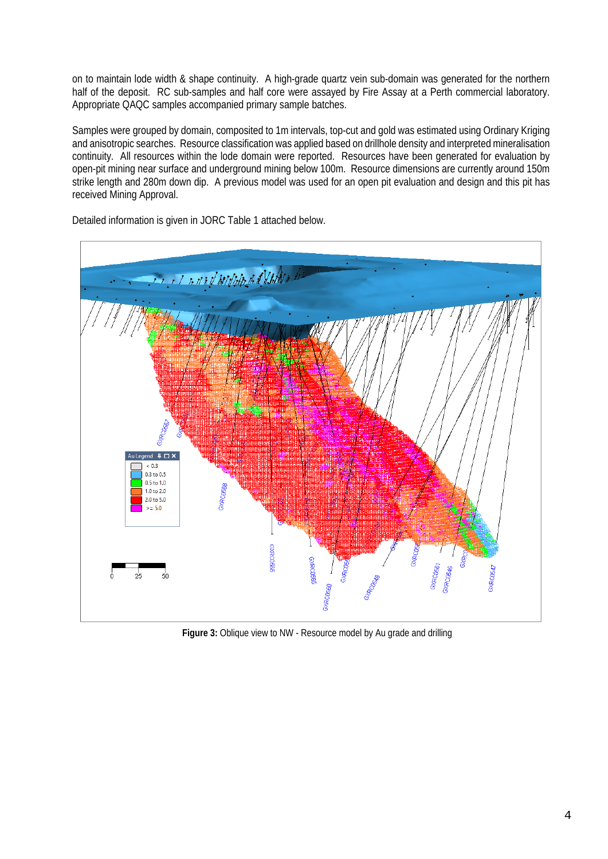on to maintain lode width & shape continuity. A high-grade quartz vein sub-domain was generated for the northern half of the deposit. RC sub-samples and half core were assayed by Fire Assay at a Perth commercial laboratory. Appropriate QAQC samples accompanied primary sample batches.

Samples were grouped by domain, composited to 1m intervals, top-cut and gold was estimated using Ordinary Kriging and anisotropic searches. Resource classification was applied based on drillhole density and interpreted mineralisation continuity. All resources within the lode domain were reported. Resources have been generated for evaluation by open-pit mining near surface and underground mining below 100m. Resource dimensions are currently around 150m strike length and 280m down dip. A previous model was used for an open pit evaluation and design and this pit has received Mining Approval.



Detailed information is given in JORC Table 1 attached below.

**Figure 3:** Oblique view to NW - Resource model by Au grade and drilling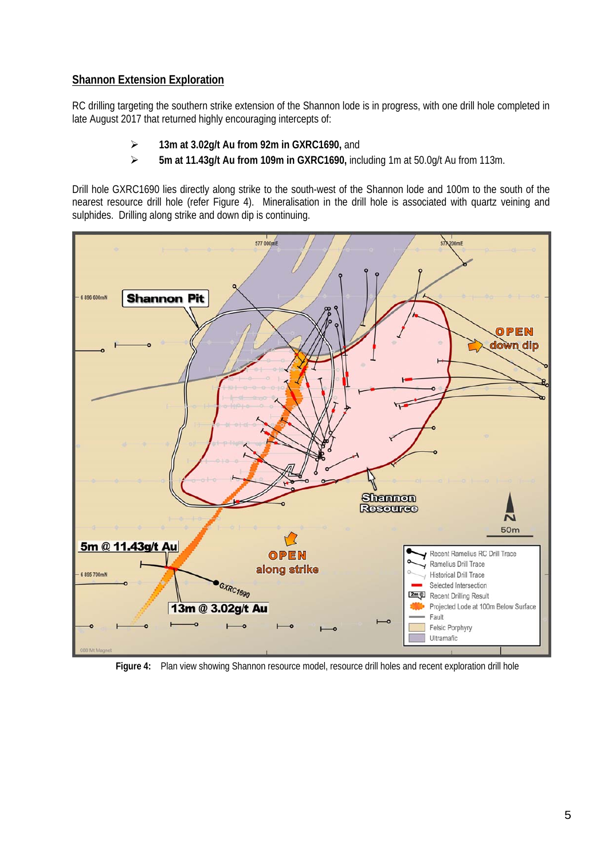## **Shannon Extension Exploration**

RC drilling targeting the southern strike extension of the Shannon lode is in progress, with one drill hole completed in late August 2017 that returned highly encouraging intercepts of:

- **13m at 3.02g/t Au from 92m in GXRC1690,** and
- **5m at 11.43g/t Au from 109m in GXRC1690,** including 1m at 50.0g/t Au from 113m.

Drill hole GXRC1690 lies directly along strike to the south-west of the Shannon lode and 100m to the south of the nearest resource drill hole (refer Figure 4). Mineralisation in the drill hole is associated with quartz veining and sulphides. Drilling along strike and down dip is continuing.



**Figure 4:** Plan view showing Shannon resource model, resource drill holes and recent exploration drill hole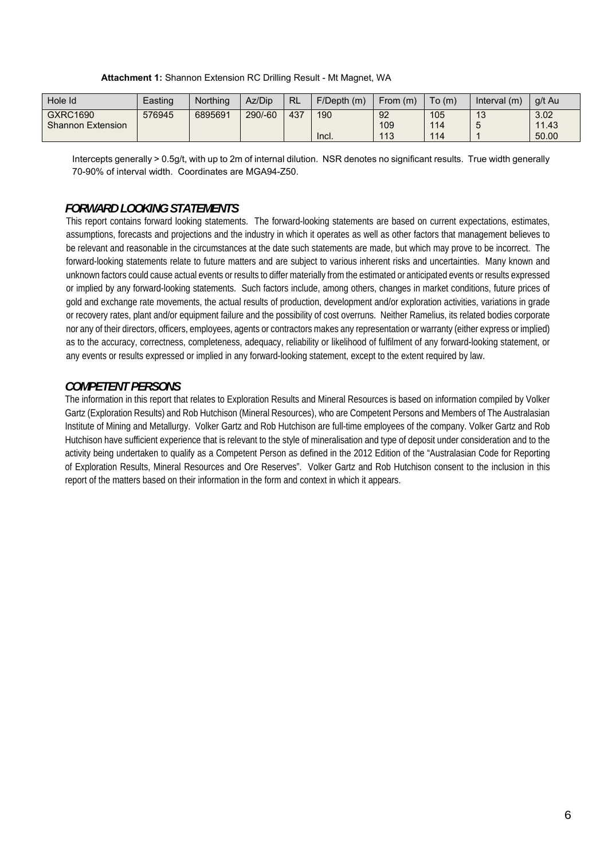#### **Attachment 1:** Shannon Extension RC Drilling Result - Mt Magnet, WA

| Hole Id                                     | Easting | Northing | Az/Dip  | <b>RL</b> | F/Depth(m)   | From $(m)$       | To(m)             | Interval $(m)$            | a/t Au                 |
|---------------------------------------------|---------|----------|---------|-----------|--------------|------------------|-------------------|---------------------------|------------------------|
| <b>GXRC1690</b><br><b>Shannon Extension</b> | 576945  | 6895691  | 290/-60 | 437       | 190<br>Incl. | 92<br>109<br>113 | 105<br>114<br>114 | $\Lambda$ $\Omega$<br>ں ا | 3.02<br>11.43<br>50.00 |

Intercepts generally > 0.5g/t, with up to 2m of internal dilution. NSR denotes no significant results. True width generally 70-90% of interval width. Coordinates are MGA94-Z50.

### *FORWARD LOOKING STATEMENTS*

This report contains forward looking statements. The forward-looking statements are based on current expectations, estimates, assumptions, forecasts and projections and the industry in which it operates as well as other factors that management believes to be relevant and reasonable in the circumstances at the date such statements are made, but which may prove to be incorrect. The forward-looking statements relate to future matters and are subject to various inherent risks and uncertainties. Many known and unknown factors could cause actual events or results to differ materially from the estimated or anticipated events or results expressed or implied by any forward-looking statements. Such factors include, among others, changes in market conditions, future prices of gold and exchange rate movements, the actual results of production, development and/or exploration activities, variations in grade or recovery rates, plant and/or equipment failure and the possibility of cost overruns. Neither Ramelius, its related bodies corporate nor any of their directors, officers, employees, agents or contractors makes any representation or warranty (either express or implied) as to the accuracy, correctness, completeness, adequacy, reliability or likelihood of fulfilment of any forward-looking statement, or any events or results expressed or implied in any forward-looking statement, except to the extent required by law.

### *COMPETENT PERSONS*

The information in this report that relates to Exploration Results and Mineral Resources is based on information compiled by Volker Gartz (Exploration Results) and Rob Hutchison (Mineral Resources), who are Competent Persons and Members of The Australasian Institute of Mining and Metallurgy. Volker Gartz and Rob Hutchison are full-time employees of the company. Volker Gartz and Rob Hutchison have sufficient experience that is relevant to the style of mineralisation and type of deposit under consideration and to the activity being undertaken to qualify as a Competent Person as defined in the 2012 Edition of the "Australasian Code for Reporting of Exploration Results, Mineral Resources and Ore Reserves". Volker Gartz and Rob Hutchison consent to the inclusion in this report of the matters based on their information in the form and context in which it appears.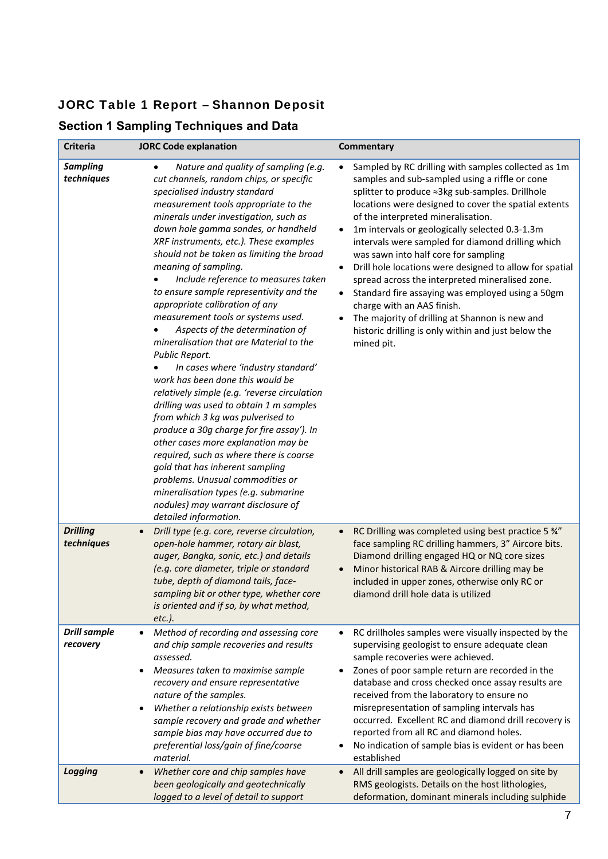## JORC Table 1 Report – Shannon Deposit

## **Section 1 Sampling Techniques and Data**

| <b>Criteria</b>                 | <b>JORC Code explanation</b>                                                                                                                                                                                                                                                                                                                                                                                                                                                                                                                                                                                                                                                                                                                                                                                                                                                                                                                                                                                                                                                                                                                          | Commentary                                                                                                                                                                                                                                                                                                                                                                                                                                                                                                                                                                                                                                                                                                                                                                                    |
|---------------------------------|-------------------------------------------------------------------------------------------------------------------------------------------------------------------------------------------------------------------------------------------------------------------------------------------------------------------------------------------------------------------------------------------------------------------------------------------------------------------------------------------------------------------------------------------------------------------------------------------------------------------------------------------------------------------------------------------------------------------------------------------------------------------------------------------------------------------------------------------------------------------------------------------------------------------------------------------------------------------------------------------------------------------------------------------------------------------------------------------------------------------------------------------------------|-----------------------------------------------------------------------------------------------------------------------------------------------------------------------------------------------------------------------------------------------------------------------------------------------------------------------------------------------------------------------------------------------------------------------------------------------------------------------------------------------------------------------------------------------------------------------------------------------------------------------------------------------------------------------------------------------------------------------------------------------------------------------------------------------|
| <b>Sampling</b><br>techniques   | Nature and quality of sampling (e.g.<br>$\bullet$<br>cut channels, random chips, or specific<br>specialised industry standard<br>measurement tools appropriate to the<br>minerals under investigation, such as<br>down hole gamma sondes, or handheld<br>XRF instruments, etc.). These examples<br>should not be taken as limiting the broad<br>meaning of sampling.<br>Include reference to measures taken<br>to ensure sample representivity and the<br>appropriate calibration of any<br>measurement tools or systems used.<br>Aspects of the determination of<br>mineralisation that are Material to the<br>Public Report.<br>In cases where 'industry standard'<br>work has been done this would be<br>relatively simple (e.g. 'reverse circulation<br>drilling was used to obtain 1 m samples<br>from which 3 kg was pulverised to<br>produce a 30g charge for fire assay'). In<br>other cases more explanation may be<br>required, such as where there is coarse<br>gold that has inherent sampling<br>problems. Unusual commodities or<br>mineralisation types (e.g. submarine<br>nodules) may warrant disclosure of<br>detailed information. | Sampled by RC drilling with samples collected as 1m<br>$\bullet$<br>samples and sub-sampled using a riffle or cone<br>splitter to produce ≈3kg sub-samples. Drillhole<br>locations were designed to cover the spatial extents<br>of the interpreted mineralisation.<br>1m intervals or geologically selected 0.3-1.3m<br>$\bullet$<br>intervals were sampled for diamond drilling which<br>was sawn into half core for sampling<br>Drill hole locations were designed to allow for spatial<br>$\bullet$<br>spread across the interpreted mineralised zone.<br>Standard fire assaying was employed using a 50gm<br>$\bullet$<br>charge with an AAS finish.<br>The majority of drilling at Shannon is new and<br>$\bullet$<br>historic drilling is only within and just below the<br>mined pit. |
| <b>Drilling</b><br>techniques   | Drill type (e.g. core, reverse circulation,<br>$\bullet$<br>open-hole hammer, rotary air blast,<br>auger, Bangka, sonic, etc.) and details<br>(e.g. core diameter, triple or standard<br>tube, depth of diamond tails, face-<br>sampling bit or other type, whether core<br>is oriented and if so, by what method,<br>$etc.$ ).                                                                                                                                                                                                                                                                                                                                                                                                                                                                                                                                                                                                                                                                                                                                                                                                                       | RC Drilling was completed using best practice 5 34"<br>$\bullet$<br>face sampling RC drilling hammers, 3" Aircore bits.<br>Diamond drilling engaged HQ or NQ core sizes<br>Minor historical RAB & Aircore drilling may be<br>included in upper zones, otherwise only RC or<br>diamond drill hole data is utilized                                                                                                                                                                                                                                                                                                                                                                                                                                                                             |
| <b>Drill sample</b><br>recovery | Method of recording and assessing core<br>$\bullet$<br>and chip sample recoveries and results<br>assessed.<br>Measures taken to maximise sample<br>recovery and ensure representative<br>nature of the samples.<br>Whether a relationship exists between<br>sample recovery and grade and whether<br>sample bias may have occurred due to<br>preferential loss/gain of fine/coarse<br>material.                                                                                                                                                                                                                                                                                                                                                                                                                                                                                                                                                                                                                                                                                                                                                       | RC drillholes samples were visually inspected by the<br>$\bullet$<br>supervising geologist to ensure adequate clean<br>sample recoveries were achieved.<br>Zones of poor sample return are recorded in the<br>$\bullet$<br>database and cross checked once assay results are<br>received from the laboratory to ensure no<br>misrepresentation of sampling intervals has<br>occurred. Excellent RC and diamond drill recovery is<br>reported from all RC and diamond holes.<br>No indication of sample bias is evident or has been<br>established                                                                                                                                                                                                                                             |
| <b>Logging</b>                  | Whether core and chip samples have<br>$\bullet$<br>been geologically and geotechnically<br>logged to a level of detail to support                                                                                                                                                                                                                                                                                                                                                                                                                                                                                                                                                                                                                                                                                                                                                                                                                                                                                                                                                                                                                     | All drill samples are geologically logged on site by<br>$\bullet$<br>RMS geologists. Details on the host lithologies,<br>deformation, dominant minerals including sulphide                                                                                                                                                                                                                                                                                                                                                                                                                                                                                                                                                                                                                    |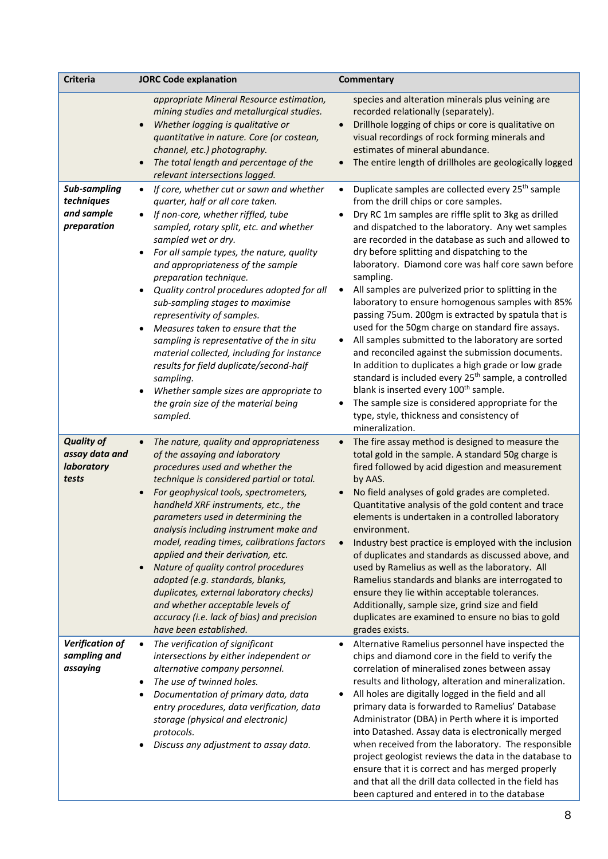| Criteria                                                   | <b>JORC Code explanation</b>                                                                                                                                                                                                                                                                                                                                                                                                                                                                                                                                                                                                                                                                                                                               | <b>Commentary</b>                                                                                                                                                                                                                                                                                                                                                                                                                                                                                                                                                                                                                                                                                                                                                                                                                                                                                                                                                                                                                                                                 |
|------------------------------------------------------------|------------------------------------------------------------------------------------------------------------------------------------------------------------------------------------------------------------------------------------------------------------------------------------------------------------------------------------------------------------------------------------------------------------------------------------------------------------------------------------------------------------------------------------------------------------------------------------------------------------------------------------------------------------------------------------------------------------------------------------------------------------|-----------------------------------------------------------------------------------------------------------------------------------------------------------------------------------------------------------------------------------------------------------------------------------------------------------------------------------------------------------------------------------------------------------------------------------------------------------------------------------------------------------------------------------------------------------------------------------------------------------------------------------------------------------------------------------------------------------------------------------------------------------------------------------------------------------------------------------------------------------------------------------------------------------------------------------------------------------------------------------------------------------------------------------------------------------------------------------|
|                                                            | appropriate Mineral Resource estimation,<br>mining studies and metallurgical studies.<br>Whether logging is qualitative or<br>quantitative in nature. Core (or costean,<br>channel, etc.) photography.<br>The total length and percentage of the<br>relevant intersections logged.                                                                                                                                                                                                                                                                                                                                                                                                                                                                         | species and alteration minerals plus veining are<br>recorded relationally (separately).<br>Drillhole logging of chips or core is qualitative on<br>$\bullet$<br>visual recordings of rock forming minerals and<br>estimates of mineral abundance.<br>The entire length of drillholes are geologically logged                                                                                                                                                                                                                                                                                                                                                                                                                                                                                                                                                                                                                                                                                                                                                                      |
| Sub-sampling<br>techniques<br>and sample<br>preparation    | If core, whether cut or sawn and whether<br>$\bullet$<br>quarter, half or all core taken.<br>If non-core, whether riffled, tube<br>$\bullet$<br>sampled, rotary split, etc. and whether<br>sampled wet or dry.<br>For all sample types, the nature, quality<br>and appropriateness of the sample<br>preparation technique.<br>Quality control procedures adopted for all<br>$\bullet$<br>sub-sampling stages to maximise<br>representivity of samples.<br>Measures taken to ensure that the<br>$\bullet$<br>sampling is representative of the in situ<br>material collected, including for instance<br>results for field duplicate/second-half<br>sampling.<br>Whether sample sizes are appropriate to<br>the grain size of the material being<br>sampled. | Duplicate samples are collected every 25 <sup>th</sup> sample<br>$\bullet$<br>from the drill chips or core samples.<br>Dry RC 1m samples are riffle split to 3kg as drilled<br>$\bullet$<br>and dispatched to the laboratory. Any wet samples<br>are recorded in the database as such and allowed to<br>dry before splitting and dispatching to the<br>laboratory. Diamond core was half core sawn before<br>sampling.<br>All samples are pulverized prior to splitting in the<br>$\bullet$<br>laboratory to ensure homogenous samples with 85%<br>passing 75um. 200gm is extracted by spatula that is<br>used for the 50gm charge on standard fire assays.<br>All samples submitted to the laboratory are sorted<br>$\bullet$<br>and reconciled against the submission documents.<br>In addition to duplicates a high grade or low grade<br>standard is included every 25 <sup>th</sup> sample, a controlled<br>blank is inserted every 100 <sup>th</sup> sample.<br>The sample size is considered appropriate for the<br>$\bullet$<br>type, style, thickness and consistency of |
| <b>Quality of</b><br>assay data and<br>laboratory<br>tests | The nature, quality and appropriateness<br>$\bullet$<br>of the assaying and laboratory<br>procedures used and whether the<br>technique is considered partial or total.<br>For geophysical tools, spectrometers,<br>handheld XRF instruments, etc., the<br>parameters used in determining the<br>analysis including instrument make and<br>model, reading times, calibrations factors<br>applied and their derivation, etc.<br>Nature of quality control procedures<br>adopted (e.g. standards, blanks,<br>duplicates, external laboratory checks)<br>and whether acceptable levels of<br>accuracy (i.e. lack of bias) and precision<br>have been established.                                                                                              | mineralization.<br>The fire assay method is designed to measure the<br>$\bullet$<br>total gold in the sample. A standard 50g charge is<br>fired followed by acid digestion and measurement<br>by AAS.<br>No field analyses of gold grades are completed.<br>$\bullet$<br>Quantitative analysis of the gold content and trace<br>elements is undertaken in a controlled laboratory<br>environment.<br>Industry best practice is employed with the inclusion<br>$\bullet$<br>of duplicates and standards as discussed above, and<br>used by Ramelius as well as the laboratory. All<br>Ramelius standards and blanks are interrogated to<br>ensure they lie within acceptable tolerances.<br>Additionally, sample size, grind size and field<br>duplicates are examined to ensure no bias to gold<br>grades exists.                                                                                                                                                                                                                                                                 |
| Verification of<br>sampling and<br>assaying                | The verification of significant<br>$\bullet$<br>intersections by either independent or<br>alternative company personnel.<br>The use of twinned holes.<br>Documentation of primary data, data<br>٠<br>entry procedures, data verification, data<br>storage (physical and electronic)<br>protocols.<br>Discuss any adjustment to assay data.                                                                                                                                                                                                                                                                                                                                                                                                                 | Alternative Ramelius personnel have inspected the<br>$\bullet$<br>chips and diamond core in the field to verify the<br>correlation of mineralised zones between assay<br>results and lithology, alteration and mineralization.<br>All holes are digitally logged in the field and all<br>$\bullet$<br>primary data is forwarded to Ramelius' Database<br>Administrator (DBA) in Perth where it is imported<br>into Datashed. Assay data is electronically merged<br>when received from the laboratory. The responsible<br>project geologist reviews the data in the database to<br>ensure that it is correct and has merged properly<br>and that all the drill data collected in the field has<br>been captured and entered in to the database                                                                                                                                                                                                                                                                                                                                    |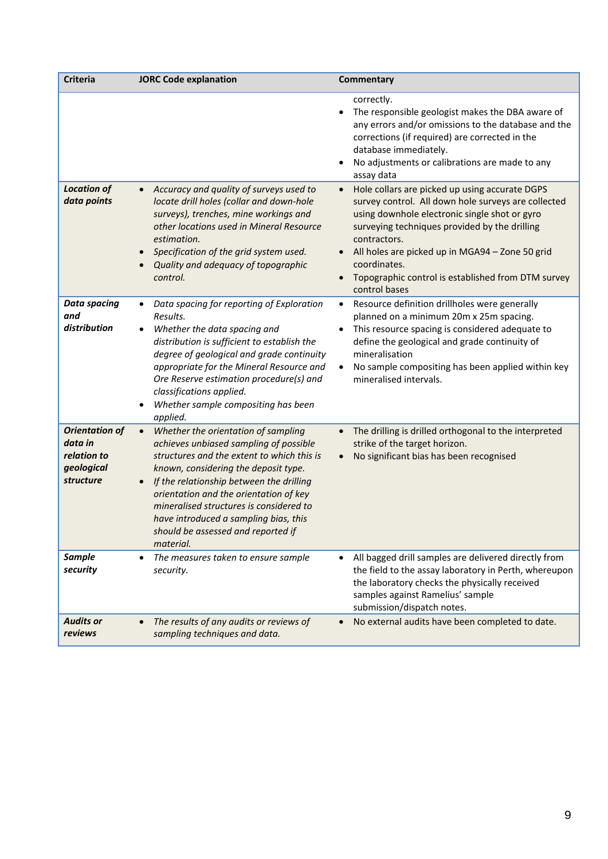| <b>Criteria</b>                                                            | <b>JORC Code explanation</b>                                                                                                                                                                                                                                                                                                                                                                                  | Commentary                                                                                                                                                                                                                                                                                                                                                                                  |
|----------------------------------------------------------------------------|---------------------------------------------------------------------------------------------------------------------------------------------------------------------------------------------------------------------------------------------------------------------------------------------------------------------------------------------------------------------------------------------------------------|---------------------------------------------------------------------------------------------------------------------------------------------------------------------------------------------------------------------------------------------------------------------------------------------------------------------------------------------------------------------------------------------|
|                                                                            |                                                                                                                                                                                                                                                                                                                                                                                                               | correctly.<br>The responsible geologist makes the DBA aware of<br>any errors and/or omissions to the database and the<br>corrections (if required) are corrected in the<br>database immediately.<br>No adjustments or calibrations are made to any<br>assay data                                                                                                                            |
| <b>Location of</b><br>data points                                          | Accuracy and quality of surveys used to<br>locate drill holes (collar and down-hole<br>surveys), trenches, mine workings and<br>other locations used in Mineral Resource<br>estimation.<br>Specification of the grid system used.<br>$\bullet$<br>Quality and adequacy of topographic<br>control.                                                                                                             | Hole collars are picked up using accurate DGPS<br>$\bullet$<br>survey control. All down hole surveys are collected<br>using downhole electronic single shot or gyro<br>surveying techniques provided by the drilling<br>contractors.<br>All holes are picked up in MGA94 - Zone 50 grid<br>$\bullet$<br>coordinates.<br>Topographic control is established from DTM survey<br>control bases |
| <b>Data spacing</b><br>and<br>distribution                                 | Data spacing for reporting of Exploration<br>Results.<br>Whether the data spacing and<br>distribution is sufficient to establish the<br>degree of geological and grade continuity<br>appropriate for the Mineral Resource and<br>Ore Reserve estimation procedure(s) and<br>classifications applied.<br>Whether sample compositing has been<br>applied.                                                       | Resource definition drillholes were generally<br>$\bullet$<br>planned on a minimum 20m x 25m spacing.<br>This resource spacing is considered adequate to<br>$\bullet$<br>define the geological and grade continuity of<br>mineralisation<br>No sample compositing has been applied within key<br>mineralised intervals.                                                                     |
| <b>Orientation of</b><br>data in<br>relation to<br>geological<br>structure | Whether the orientation of sampling<br>$\bullet$<br>achieves unbiased sampling of possible<br>structures and the extent to which this is<br>known, considering the deposit type.<br>If the relationship between the drilling<br>orientation and the orientation of key<br>mineralised structures is considered to<br>have introduced a sampling bias, this<br>should be assessed and reported if<br>material. | The drilling is drilled orthogonal to the interpreted<br>$\bullet$<br>strike of the target horizon.<br>No significant bias has been recognised<br>$\bullet$                                                                                                                                                                                                                                 |
| <b>Sample</b><br>security                                                  | The measures taken to ensure sample<br>$\bullet$<br>security.                                                                                                                                                                                                                                                                                                                                                 | All bagged drill samples are delivered directly from<br>$\bullet$<br>the field to the assay laboratory in Perth, whereupon<br>the laboratory checks the physically received<br>samples against Ramelius' sample<br>submission/dispatch notes.                                                                                                                                               |
| <b>Audits or</b><br>reviews                                                | The results of any audits or reviews of<br>sampling techniques and data.                                                                                                                                                                                                                                                                                                                                      | No external audits have been completed to date.<br>$\bullet$                                                                                                                                                                                                                                                                                                                                |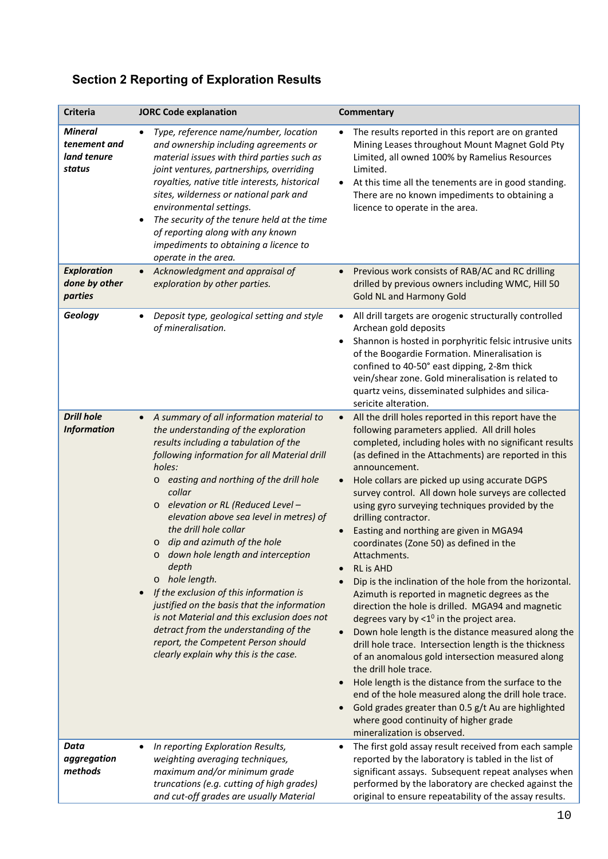# **Section 2 Reporting of Exploration Results**

| Criteria                                                | <b>JORC Code explanation</b>                                                                                                                                                                                                                                                                                                                                                                                                                                                                                                                                                                                                                                                                                                                                        | <b>Commentary</b>                                                                                                                                                                                                                                                                                                                                                                                                                                                                                                                                                                                                                                                                                                                                                                                                                                                                                                                                                                                                                                                                                                                                                                                                                            |
|---------------------------------------------------------|---------------------------------------------------------------------------------------------------------------------------------------------------------------------------------------------------------------------------------------------------------------------------------------------------------------------------------------------------------------------------------------------------------------------------------------------------------------------------------------------------------------------------------------------------------------------------------------------------------------------------------------------------------------------------------------------------------------------------------------------------------------------|----------------------------------------------------------------------------------------------------------------------------------------------------------------------------------------------------------------------------------------------------------------------------------------------------------------------------------------------------------------------------------------------------------------------------------------------------------------------------------------------------------------------------------------------------------------------------------------------------------------------------------------------------------------------------------------------------------------------------------------------------------------------------------------------------------------------------------------------------------------------------------------------------------------------------------------------------------------------------------------------------------------------------------------------------------------------------------------------------------------------------------------------------------------------------------------------------------------------------------------------|
| <b>Mineral</b><br>tenement and<br>land tenure<br>status | Type, reference name/number, location<br>and ownership including agreements or<br>material issues with third parties such as<br>joint ventures, partnerships, overriding<br>royalties, native title interests, historical<br>sites, wilderness or national park and<br>environmental settings.<br>The security of the tenure held at the time<br>of reporting along with any known<br>impediments to obtaining a licence to<br>operate in the area.                                                                                                                                                                                                                                                                                                                 | The results reported in this report are on granted<br>Mining Leases throughout Mount Magnet Gold Pty<br>Limited, all owned 100% by Ramelius Resources<br>Limited.<br>At this time all the tenements are in good standing.<br>There are no known impediments to obtaining a<br>licence to operate in the area.                                                                                                                                                                                                                                                                                                                                                                                                                                                                                                                                                                                                                                                                                                                                                                                                                                                                                                                                |
| <b>Exploration</b><br>done by other<br>parties          | Acknowledgment and appraisal of<br>$\bullet$<br>exploration by other parties.                                                                                                                                                                                                                                                                                                                                                                                                                                                                                                                                                                                                                                                                                       | Previous work consists of RAB/AC and RC drilling<br>drilled by previous owners including WMC, Hill 50<br>Gold NL and Harmony Gold                                                                                                                                                                                                                                                                                                                                                                                                                                                                                                                                                                                                                                                                                                                                                                                                                                                                                                                                                                                                                                                                                                            |
| Geology                                                 | Deposit type, geological setting and style<br>of mineralisation.                                                                                                                                                                                                                                                                                                                                                                                                                                                                                                                                                                                                                                                                                                    | All drill targets are orogenic structurally controlled<br>$\bullet$<br>Archean gold deposits<br>Shannon is hosted in porphyritic felsic intrusive units<br>$\bullet$<br>of the Boogardie Formation. Mineralisation is<br>confined to 40-50° east dipping, 2-8m thick<br>vein/shear zone. Gold mineralisation is related to<br>quartz veins, disseminated sulphides and silica-<br>sericite alteration.                                                                                                                                                                                                                                                                                                                                                                                                                                                                                                                                                                                                                                                                                                                                                                                                                                       |
| <b>Drill hole</b><br><b>Information</b>                 | A summary of all information material to<br>$\bullet$<br>the understanding of the exploration<br>results including a tabulation of the<br>following information for all Material drill<br>holes:<br>o easting and northing of the drill hole<br>collar<br>elevation or RL (Reduced Level -<br>$\circ$<br>elevation above sea level in metres) of<br>the drill hole collar<br>dip and azimuth of the hole<br>$\circ$<br>down hole length and interception<br>O<br>depth<br>hole length.<br>$\circ$<br>If the exclusion of this information is<br>justified on the basis that the information<br>is not Material and this exclusion does not<br>detract from the understanding of the<br>report, the Competent Person should<br>clearly explain why this is the case. | All the drill holes reported in this report have the<br>$\bullet$<br>following parameters applied. All drill holes<br>completed, including holes with no significant results<br>(as defined in the Attachments) are reported in this<br>announcement.<br>Hole collars are picked up using accurate DGPS<br>survey control. All down hole surveys are collected<br>using gyro surveying techniques provided by the<br>drilling contractor.<br>Easting and northing are given in MGA94<br>coordinates (Zone 50) as defined in the<br>Attachments.<br><b>RL</b> is AHD<br>Dip is the inclination of the hole from the horizontal.<br>Azimuth is reported in magnetic degrees as the<br>direction the hole is drilled. MGA94 and magnetic<br>degrees vary by $<$ 1 <sup>0</sup> in the project area.<br>Down hole length is the distance measured along the<br>drill hole trace. Intersection length is the thickness<br>of an anomalous gold intersection measured along<br>the drill hole trace.<br>Hole length is the distance from the surface to the<br>end of the hole measured along the drill hole trace.<br>Gold grades greater than 0.5 g/t Au are highlighted<br>where good continuity of higher grade<br>mineralization is observed. |
| Data<br>aggregation<br>methods                          | In reporting Exploration Results,<br>weighting averaging techniques,<br>maximum and/or minimum grade<br>truncations (e.g. cutting of high grades)<br>and cut-off grades are usually Material                                                                                                                                                                                                                                                                                                                                                                                                                                                                                                                                                                        | The first gold assay result received from each sample<br>$\bullet$<br>reported by the laboratory is tabled in the list of<br>significant assays. Subsequent repeat analyses when<br>performed by the laboratory are checked against the<br>original to ensure repeatability of the assay results.                                                                                                                                                                                                                                                                                                                                                                                                                                                                                                                                                                                                                                                                                                                                                                                                                                                                                                                                            |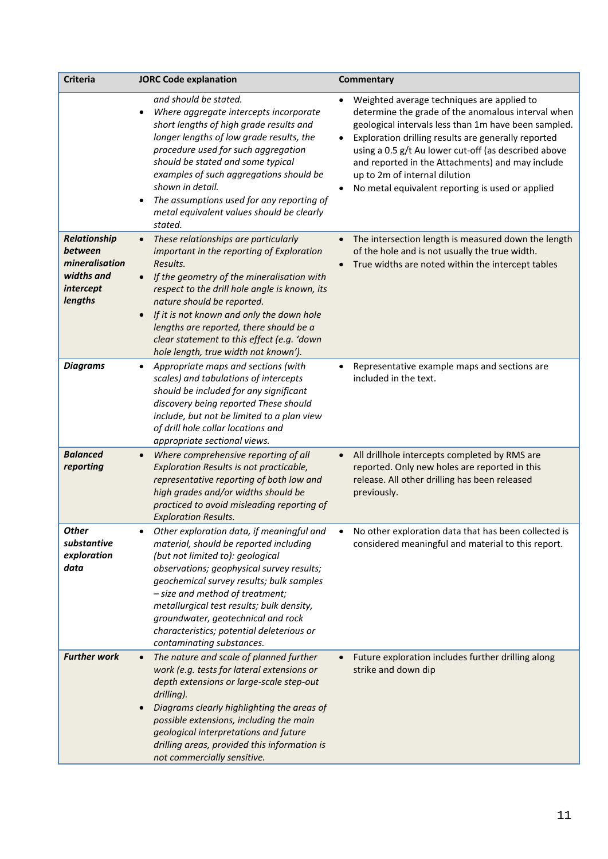| <b>Criteria</b>                                                                 | <b>JORC Code explanation</b>                                                                                                                                                                                                                                                                                                                                                                                          | Commentary                                                                                                                                                                                                                                                                                                                                                                                                                    |
|---------------------------------------------------------------------------------|-----------------------------------------------------------------------------------------------------------------------------------------------------------------------------------------------------------------------------------------------------------------------------------------------------------------------------------------------------------------------------------------------------------------------|-------------------------------------------------------------------------------------------------------------------------------------------------------------------------------------------------------------------------------------------------------------------------------------------------------------------------------------------------------------------------------------------------------------------------------|
|                                                                                 | and should be stated.<br>Where aggregate intercepts incorporate<br>short lengths of high grade results and<br>longer lengths of low grade results, the<br>procedure used for such aggregation<br>should be stated and some typical<br>examples of such aggregations should be<br>shown in detail.<br>The assumptions used for any reporting of<br>metal equivalent values should be clearly<br>stated.                | Weighted average techniques are applied to<br>determine the grade of the anomalous interval when<br>geological intervals less than 1m have been sampled.<br>Exploration drilling results are generally reported<br>$\bullet$<br>using a 0.5 g/t Au lower cut-off (as described above<br>and reported in the Attachments) and may include<br>up to 2m of internal dilution<br>No metal equivalent reporting is used or applied |
| Relationship<br>between<br>mineralisation<br>widths and<br>intercept<br>lengths | These relationships are particularly<br>important in the reporting of Exploration<br>Results.<br>If the geometry of the mineralisation with<br>$\bullet$<br>respect to the drill hole angle is known, its<br>nature should be reported.<br>If it is not known and only the down hole<br>lengths are reported, there should be a<br>clear statement to this effect (e.g. 'down<br>hole length, true width not known'). | The intersection length is measured down the length<br>$\bullet$<br>of the hole and is not usually the true width.<br>True widths are noted within the intercept tables                                                                                                                                                                                                                                                       |
| <b>Diagrams</b>                                                                 | Appropriate maps and sections (with<br>scales) and tabulations of intercepts<br>should be included for any significant<br>discovery being reported These should<br>include, but not be limited to a plan view<br>of drill hole collar locations and<br>appropriate sectional views.                                                                                                                                   | Representative example maps and sections are<br>٠<br>included in the text.                                                                                                                                                                                                                                                                                                                                                    |
| <b>Balanced</b><br>reporting                                                    | Where comprehensive reporting of all<br>$\bullet$<br>Exploration Results is not practicable,<br>representative reporting of both low and<br>high grades and/or widths should be<br>practiced to avoid misleading reporting of<br><b>Exploration Results.</b>                                                                                                                                                          | All drillhole intercepts completed by RMS are<br>$\bullet$<br>reported. Only new holes are reported in this<br>release. All other drilling has been released<br>previously.                                                                                                                                                                                                                                                   |
| Other<br>substantive<br>exploration<br>data                                     | Other exploration data, if meaningful and<br>material, should be reported including<br>(but not limited to): geological<br>observations; geophysical survey results;<br>geochemical survey results; bulk samples<br>- size and method of treatment;<br>metallurgical test results; bulk density,<br>groundwater, geotechnical and rock<br>characteristics; potential deleterious or<br>contaminating substances.      | No other exploration data that has been collected is<br>considered meaningful and material to this report.                                                                                                                                                                                                                                                                                                                    |
| <b>Further work</b>                                                             | The nature and scale of planned further<br>$\bullet$<br>work (e.g. tests for lateral extensions or<br>depth extensions or large-scale step-out<br>drilling).<br>Diagrams clearly highlighting the areas of<br>possible extensions, including the main<br>geological interpretations and future<br>drilling areas, provided this information is<br>not commercially sensitive.                                         | Future exploration includes further drilling along<br>strike and down dip                                                                                                                                                                                                                                                                                                                                                     |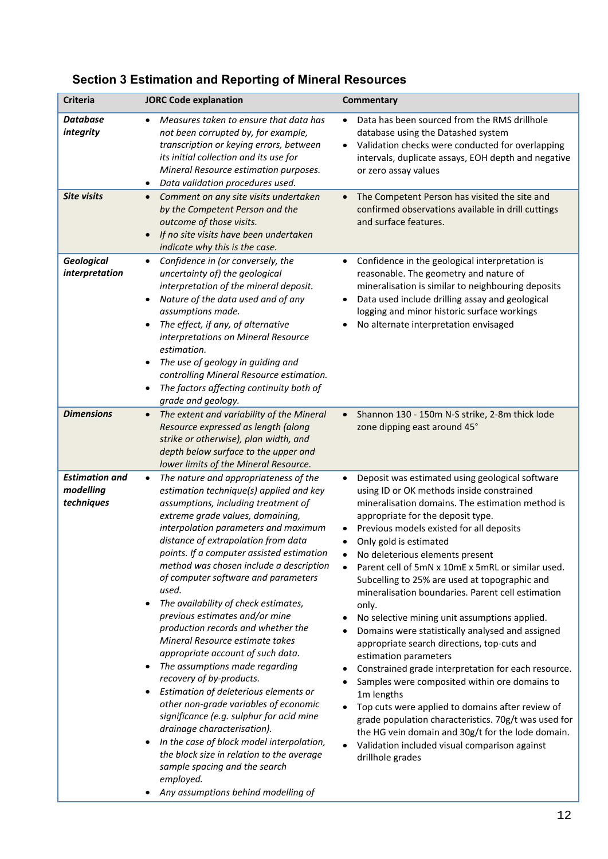| Criteria                                         | <b>JORC Code explanation</b>                                                                                                                                                                                                                                                                                                                                                                                                                                                                                                                                                                                                                                                                                                                                                                                                                                                                                                                                                                                                | Commentary                                                                                                                                                                                                                                                                                                                                                                                                                                                                                                                                                                                                                                                                                                                                                                                                                                                                                                                                                                                                                                                      |
|--------------------------------------------------|-----------------------------------------------------------------------------------------------------------------------------------------------------------------------------------------------------------------------------------------------------------------------------------------------------------------------------------------------------------------------------------------------------------------------------------------------------------------------------------------------------------------------------------------------------------------------------------------------------------------------------------------------------------------------------------------------------------------------------------------------------------------------------------------------------------------------------------------------------------------------------------------------------------------------------------------------------------------------------------------------------------------------------|-----------------------------------------------------------------------------------------------------------------------------------------------------------------------------------------------------------------------------------------------------------------------------------------------------------------------------------------------------------------------------------------------------------------------------------------------------------------------------------------------------------------------------------------------------------------------------------------------------------------------------------------------------------------------------------------------------------------------------------------------------------------------------------------------------------------------------------------------------------------------------------------------------------------------------------------------------------------------------------------------------------------------------------------------------------------|
| <b>Database</b><br>integrity                     | Measures taken to ensure that data has<br>not been corrupted by, for example,<br>transcription or keying errors, between<br>its initial collection and its use for<br>Mineral Resource estimation purposes.<br>Data validation procedures used.<br>$\bullet$                                                                                                                                                                                                                                                                                                                                                                                                                                                                                                                                                                                                                                                                                                                                                                | Data has been sourced from the RMS drillhole<br>database using the Datashed system<br>Validation checks were conducted for overlapping<br>intervals, duplicate assays, EOH depth and negative<br>or zero assay values                                                                                                                                                                                                                                                                                                                                                                                                                                                                                                                                                                                                                                                                                                                                                                                                                                           |
| <b>Site visits</b>                               | Comment on any site visits undertaken<br>$\bullet$<br>by the Competent Person and the<br>outcome of those visits.<br>If no site visits have been undertaken<br>$\bullet$<br>indicate why this is the case.                                                                                                                                                                                                                                                                                                                                                                                                                                                                                                                                                                                                                                                                                                                                                                                                                  | The Competent Person has visited the site and<br>$\bullet$<br>confirmed observations available in drill cuttings<br>and surface features.                                                                                                                                                                                                                                                                                                                                                                                                                                                                                                                                                                                                                                                                                                                                                                                                                                                                                                                       |
| <b>Geological</b><br>interpretation              | Confidence in (or conversely, the<br>$\bullet$<br>uncertainty of) the geological<br>interpretation of the mineral deposit.<br>Nature of the data used and of any<br>assumptions made.<br>The effect, if any, of alternative<br>interpretations on Mineral Resource<br>estimation.<br>The use of geology in guiding and<br>$\bullet$<br>controlling Mineral Resource estimation.<br>The factors affecting continuity both of<br>$\bullet$<br>grade and geology.                                                                                                                                                                                                                                                                                                                                                                                                                                                                                                                                                              | Confidence in the geological interpretation is<br>$\bullet$<br>reasonable. The geometry and nature of<br>mineralisation is similar to neighbouring deposits<br>Data used include drilling assay and geological<br>logging and minor historic surface workings<br>No alternate interpretation envisaged                                                                                                                                                                                                                                                                                                                                                                                                                                                                                                                                                                                                                                                                                                                                                          |
| <b>Dimensions</b>                                | The extent and variability of the Mineral<br>$\bullet$<br>Resource expressed as length (along<br>strike or otherwise), plan width, and<br>depth below surface to the upper and<br>lower limits of the Mineral Resource.                                                                                                                                                                                                                                                                                                                                                                                                                                                                                                                                                                                                                                                                                                                                                                                                     | Shannon 130 - 150m N-S strike, 2-8m thick lode<br>$\bullet$<br>zone dipping east around 45°                                                                                                                                                                                                                                                                                                                                                                                                                                                                                                                                                                                                                                                                                                                                                                                                                                                                                                                                                                     |
| <b>Estimation and</b><br>modelling<br>techniques | The nature and appropriateness of the<br>$\bullet$<br>estimation technique(s) applied and key<br>assumptions, including treatment of<br>extreme grade values, domaining,<br>interpolation parameters and maximum<br>distance of extrapolation from data<br>points. If a computer assisted estimation<br>method was chosen include a description<br>of computer software and parameters<br>used.<br>The availability of check estimates,<br>previous estimates and/or mine<br>production records and whether the<br>Mineral Resource estimate takes<br>appropriate account of such data.<br>The assumptions made regarding<br>recovery of by-products.<br>Estimation of deleterious elements or<br>$\bullet$<br>other non-grade variables of economic<br>significance (e.g. sulphur for acid mine<br>drainage characterisation).<br>In the case of block model interpolation,<br>$\bullet$<br>the block size in relation to the average<br>sample spacing and the search<br>employed.<br>Any assumptions behind modelling of | Deposit was estimated using geological software<br>$\bullet$<br>using ID or OK methods inside constrained<br>mineralisation domains. The estimation method is<br>appropriate for the deposit type.<br>Previous models existed for all deposits<br>$\bullet$<br>Only gold is estimated<br>$\bullet$<br>No deleterious elements present<br>Parent cell of 5mN x 10mE x 5mRL or similar used.<br>$\bullet$<br>Subcelling to 25% are used at topographic and<br>mineralisation boundaries. Parent cell estimation<br>only.<br>No selective mining unit assumptions applied.<br>Domains were statistically analysed and assigned<br>appropriate search directions, top-cuts and<br>estimation parameters<br>Constrained grade interpretation for each resource.<br>Samples were composited within ore domains to<br>1m lengths<br>Top cuts were applied to domains after review of<br>grade population characteristics. 70g/t was used for<br>the HG vein domain and 30g/t for the lode domain.<br>Validation included visual comparison against<br>drillhole grades |

# **Section 3 Estimation and Reporting of Mineral Resources**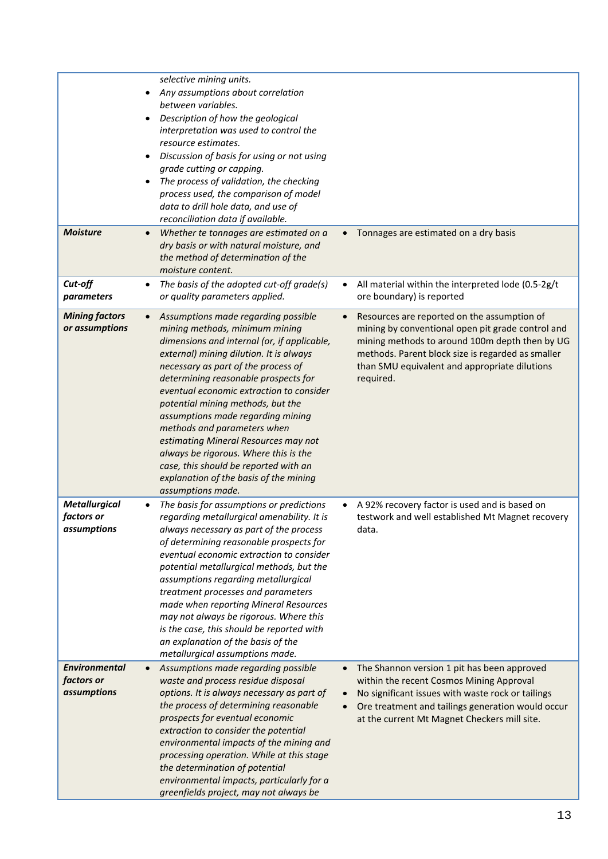|                                                          | selective mining units.<br>Any assumptions about correlation<br>$\bullet$<br>between variables.<br>Description of how the geological<br>$\bullet$<br>interpretation was used to control the<br>resource estimates.<br>Discussion of basis for using or not using<br>grade cutting or capping.<br>The process of validation, the checking<br>$\bullet$<br>process used, the comparison of model<br>data to drill hole data, and use of<br>reconciliation data if available.                                                                                                                                |                                                                                                                                                                                                                                                                       |
|----------------------------------------------------------|-----------------------------------------------------------------------------------------------------------------------------------------------------------------------------------------------------------------------------------------------------------------------------------------------------------------------------------------------------------------------------------------------------------------------------------------------------------------------------------------------------------------------------------------------------------------------------------------------------------|-----------------------------------------------------------------------------------------------------------------------------------------------------------------------------------------------------------------------------------------------------------------------|
| <b>Moisture</b>                                          | Whether te tonnages are estimated on a<br>$\bullet$<br>dry basis or with natural moisture, and<br>the method of determination of the<br>moisture content.                                                                                                                                                                                                                                                                                                                                                                                                                                                 | Tonnages are estimated on a dry basis<br>$\bullet$                                                                                                                                                                                                                    |
| Cut-off<br>parameters                                    | The basis of the adopted cut-off grade(s)<br>$\bullet$<br>or quality parameters applied.                                                                                                                                                                                                                                                                                                                                                                                                                                                                                                                  | All material within the interpreted lode (0.5-2g/t<br>$\bullet$<br>ore boundary) is reported                                                                                                                                                                          |
| <b>Mining factors</b><br>or assumptions                  | Assumptions made regarding possible<br>$\bullet$<br>mining methods, minimum mining<br>dimensions and internal (or, if applicable,<br>external) mining dilution. It is always<br>necessary as part of the process of<br>determining reasonable prospects for<br>eventual economic extraction to consider<br>potential mining methods, but the<br>assumptions made regarding mining<br>methods and parameters when<br>estimating Mineral Resources may not<br>always be rigorous. Where this is the<br>case, this should be reported with an<br>explanation of the basis of the mining<br>assumptions made. | Resources are reported on the assumption of<br>mining by conventional open pit grade control and<br>mining methods to around 100m depth then by UG<br>methods. Parent block size is regarded as smaller<br>than SMU equivalent and appropriate dilutions<br>required. |
| <b>Metallurgical</b><br>factors or<br>assumptions        | The basis for assumptions or predictions<br>regarding metallurgical amenability. It is<br>always necessary as part of the process<br>of determining reasonable prospects for<br>eventual economic extraction to consider<br>potential metallurgical methods, but the<br>assumptions regarding metallurgical<br>treatment processes and parameters<br>made when reporting Mineral Resources<br>may not always be rigorous. Where this<br>is the case, this should be reported with<br>an explanation of the basis of the<br>metallurgical assumptions made.                                                | A 92% recovery factor is used and is based on<br>testwork and well established Mt Magnet recovery<br>data.                                                                                                                                                            |
| <b>Environmental</b><br>factors or<br><i>assumptions</i> | Assumptions made regarding possible<br>$\bullet$<br>waste and process residue disposal<br>options. It is always necessary as part of<br>the process of determining reasonable<br>prospects for eventual economic<br>extraction to consider the potential<br>environmental impacts of the mining and<br>processing operation. While at this stage<br>the determination of potential<br>environmental impacts, particularly for a<br>greenfields project, may not always be                                                                                                                                 | The Shannon version 1 pit has been approved<br>within the recent Cosmos Mining Approval<br>No significant issues with waste rock or tailings<br>Ore treatment and tailings generation would occur<br>at the current Mt Magnet Checkers mill site.                     |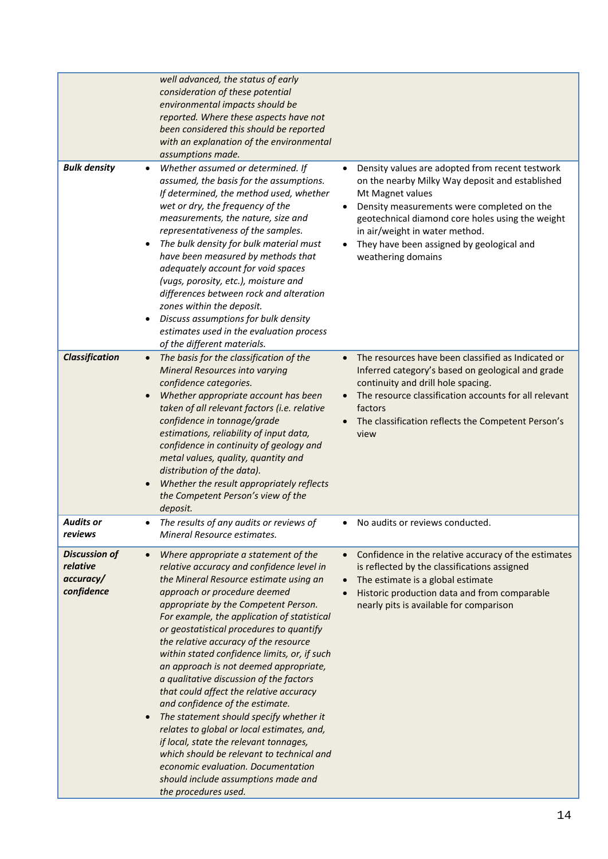|                                                             | well advanced, the status of early<br>consideration of these potential<br>environmental impacts should be<br>reported. Where these aspects have not<br>been considered this should be reported<br>with an explanation of the environmental<br>assumptions made.                                                                                                                                                                                                                                                                                                                                                                                                                                                                                                                                                                                                           |                                                                                                                                                                                                                                                                                                                               |
|-------------------------------------------------------------|---------------------------------------------------------------------------------------------------------------------------------------------------------------------------------------------------------------------------------------------------------------------------------------------------------------------------------------------------------------------------------------------------------------------------------------------------------------------------------------------------------------------------------------------------------------------------------------------------------------------------------------------------------------------------------------------------------------------------------------------------------------------------------------------------------------------------------------------------------------------------|-------------------------------------------------------------------------------------------------------------------------------------------------------------------------------------------------------------------------------------------------------------------------------------------------------------------------------|
| <b>Bulk density</b>                                         | Whether assumed or determined. If<br>assumed, the basis for the assumptions.<br>If determined, the method used, whether<br>wet or dry, the frequency of the<br>measurements, the nature, size and<br>representativeness of the samples.<br>The bulk density for bulk material must<br>have been measured by methods that<br>adequately account for void spaces<br>(vugs, porosity, etc.), moisture and<br>differences between rock and alteration<br>zones within the deposit.<br>Discuss assumptions for bulk density<br>$\bullet$<br>estimates used in the evaluation process<br>of the different materials.                                                                                                                                                                                                                                                            | Density values are adopted from recent testwork<br>on the nearby Milky Way deposit and established<br>Mt Magnet values<br>Density measurements were completed on the<br>geotechnical diamond core holes using the weight<br>in air/weight in water method.<br>They have been assigned by geological and<br>weathering domains |
| <b>Classification</b>                                       | The basis for the classification of the<br>$\bullet$<br>Mineral Resources into varying<br>confidence categories.<br>Whether appropriate account has been<br>taken of all relevant factors (i.e. relative<br>confidence in tonnage/grade<br>estimations, reliability of input data,<br>confidence in continuity of geology and<br>metal values, quality, quantity and<br>distribution of the data).<br>Whether the result appropriately reflects<br>$\bullet$<br>the Competent Person's view of the<br>deposit.                                                                                                                                                                                                                                                                                                                                                            | The resources have been classified as Indicated or<br>Inferred category's based on geological and grade<br>continuity and drill hole spacing.<br>The resource classification accounts for all relevant<br>factors<br>The classification reflects the Competent Person's<br>view                                               |
| <b>Audits or</b><br>reviews                                 | The results of any audits or reviews of<br>$\bullet$<br>Mineral Resource estimates.                                                                                                                                                                                                                                                                                                                                                                                                                                                                                                                                                                                                                                                                                                                                                                                       | No audits or reviews conducted.<br>$\bullet$                                                                                                                                                                                                                                                                                  |
| <b>Discussion of</b><br>relative<br>accuracy/<br>confidence | Where appropriate a statement of the<br>$\bullet$<br>relative accuracy and confidence level in<br>the Mineral Resource estimate using an<br>approach or procedure deemed<br>appropriate by the Competent Person.<br>For example, the application of statistical<br>or geostatistical procedures to quantify<br>the relative accuracy of the resource<br>within stated confidence limits, or, if such<br>an approach is not deemed appropriate,<br>a qualitative discussion of the factors<br>that could affect the relative accuracy<br>and confidence of the estimate.<br>The statement should specify whether it<br>$\bullet$<br>relates to global or local estimates, and,<br>if local, state the relevant tonnages,<br>which should be relevant to technical and<br>economic evaluation. Documentation<br>should include assumptions made and<br>the procedures used. | Confidence in the relative accuracy of the estimates<br>$\bullet$<br>is reflected by the classifications assigned<br>The estimate is a global estimate<br>Historic production data and from comparable<br>nearly pits is available for comparison                                                                             |